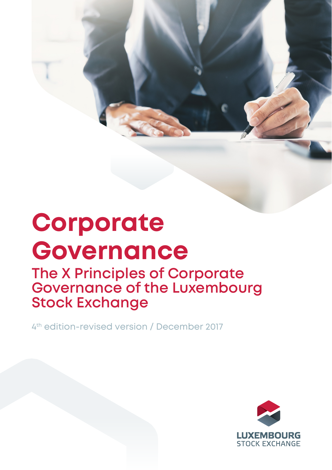# **Corporate Governance**

# **The X Principles of Corporate Governance of the Luxembourg Stock Exchange**

4th edition-revised version / December 2017

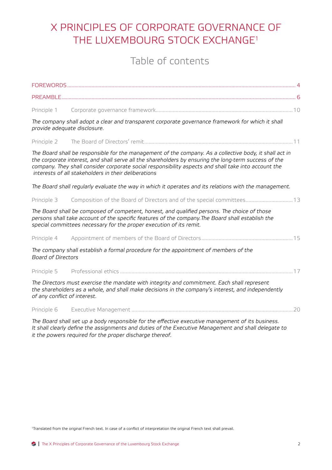# X PRINCIPLES OF CORPORATE GOVERNANCE OF THE LUXEMBOURG STOCK EXCHANGE<sup>1</sup>

# Table of contents

| Principle 1                  |                                                                                                                                                                                                                                                                                                                                                                                  |  |
|------------------------------|----------------------------------------------------------------------------------------------------------------------------------------------------------------------------------------------------------------------------------------------------------------------------------------------------------------------------------------------------------------------------------|--|
|                              | The company shall adopt a clear and transparent corporate governance framework for which it shall<br>provide adequate disclosure.                                                                                                                                                                                                                                                |  |
| Principle 2                  |                                                                                                                                                                                                                                                                                                                                                                                  |  |
|                              | The Board shall be responsible for the management of the company. As a collective body, it shall act in<br>the corporate interest, and shall serve all the shareholders by ensuring the long-term success of the<br>company. They shall consider corporate social responsibility aspects and shall take into account the<br>interests of all stakeholders in their deliberations |  |
|                              | The Board shall regularly evaluate the way in which it operates and its relations with the management.                                                                                                                                                                                                                                                                           |  |
| Principle 3                  | Composition of the Board of Directors and of the special committees 13                                                                                                                                                                                                                                                                                                           |  |
|                              | The Board shall be composed of competent, honest, and qualified persons. The choice of those<br>persons shall take account of the specific features of the company. The Board shall establish the<br>special committees necessary for the proper execution of its remit.                                                                                                         |  |
| Principle 4                  |                                                                                                                                                                                                                                                                                                                                                                                  |  |
| <b>Board of Directors</b>    | The company shall establish a formal procedure for the appointment of members of the                                                                                                                                                                                                                                                                                             |  |
| Principle 5                  |                                                                                                                                                                                                                                                                                                                                                                                  |  |
| of any conflict of interest. | The Directors must exercise the mandate with integrity and commitment. Each shall represent<br>the shareholders as a whole, and shall make decisions in the company's interest, and independently                                                                                                                                                                                |  |
| Principle 6                  |                                                                                                                                                                                                                                                                                                                                                                                  |  |
|                              | The Board shall set up a body responsible for the effective executive management of its business.<br>It shall clearly define the assignments and duties of the Executive Management and shall delegate to                                                                                                                                                                        |  |

1Translated from the original French text. In case of a conflict of interpretation the original French text shall prevail.

it the powers required for the proper discharge thereof.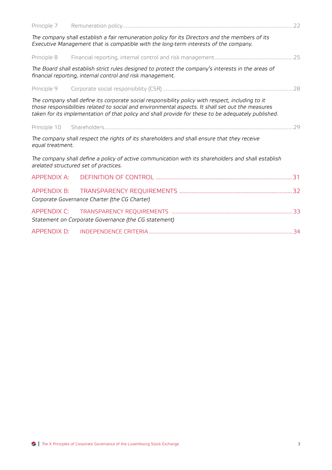|                    | The company shall establish a fair remuneration policy for its Directors and the members of its<br>Executive Management that is compatible with the long-term interests of the company.                                                                                                                       |  |
|--------------------|---------------------------------------------------------------------------------------------------------------------------------------------------------------------------------------------------------------------------------------------------------------------------------------------------------------|--|
| Principle 8        |                                                                                                                                                                                                                                                                                                               |  |
|                    | The Board shall establish strict rules designed to protect the company's interests in the areas of<br>financial reporting, internal control and risk management.                                                                                                                                              |  |
| Principle 9        |                                                                                                                                                                                                                                                                                                               |  |
|                    | The company shall define its corporate social responsibility policy with respect, including to it<br>those responsibilities related to social and environmental aspects. It shall set out the measures<br>taken for its implementation of that policy and shall provide for these to be adequately published. |  |
|                    |                                                                                                                                                                                                                                                                                                               |  |
| equal treatment.   | The company shall respect the rights of its shareholders and shall ensure that they receive                                                                                                                                                                                                                   |  |
|                    | The company shall define a policy of active communication with its shareholders and shall establish<br>arelated structured set of practices.                                                                                                                                                                  |  |
| <b>APPENDIX A:</b> |                                                                                                                                                                                                                                                                                                               |  |
|                    | Corporate Governance Charter (the CG Charter)                                                                                                                                                                                                                                                                 |  |
| <b>APPENDIX C:</b> | Statement on Corporate Governance (the CG statement)                                                                                                                                                                                                                                                          |  |
| <b>APPENDIX D:</b> |                                                                                                                                                                                                                                                                                                               |  |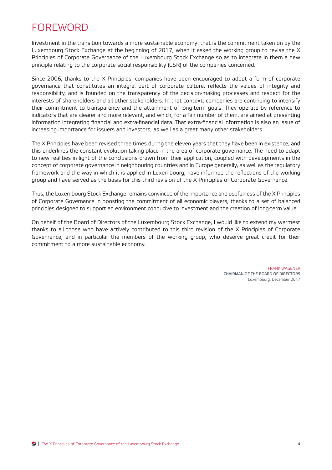# FOREWORD

Investment in the transition towards a more sustainable economy: that is the commitment taken on by the Luxembourg Stock Exchange at the beginning of 2017, when it asked the working group to revise the X Principles of Corporate Governance of the Luxembourg Stock Exchange so as to integrate in them a new principle relating to the corporate social responsibility (CSR) of the companies concerned.

Since 2006, thanks to the X Principles, companies have been encouraged to adopt a form of corporate governance that constitutes an integral part of corporate culture, reflects the values of integrity and responsibility, and is founded on the transparency of the decision-making processes and respect for the interests of shareholders and all other stakeholders. In that context, companies are continuing to intensify their commitment to transparency and the attainment of long-term goals. They operate by reference to indicators that are clearer and more relevant, and which, for a fair number of them, are aimed at presenting information integrating financial and extra-financial data. That extra-financial information is also an issue of increasing importance for issuers and investors, as well as a great many other stakeholders.

The X Principles have been revised three times during the eleven years that they have been in existence, and this underlines the constant evolution taking place in the area of corporate governance. The need to adapt to new realities in light of the conclusions drawn from their application, coupled with developments in the concept of corporate governance in neighbouring countries and in Europe generally, as well as the regulatory framework and the way in which it is applied in Luxembourg, have informed the reflections of the working group and have served as the basis for this third revision of the X Principles of Corporate Governance.

Thus, the Luxembourg Stock Exchange remains convinced of the importance and usefulness of the X Principles of Corporate Governance in boosting the commitment of all economic players, thanks to a set of balanced principles designed to support an environment conducive to investment and the creation of long-term value.

On behalf of the Board of Directors of the Luxembourg Stock Exchange, I would like to extend my warmest thanks to all those who have actively contributed to this third revision of the X Principles of Corporate Governance, and in particular the members of the working group, who deserve great credit for their commitment to a more sustainable economy.

> FRANK WAGENER CHAIRMAN OF THE BOARD OF DIRECTORS Luxembourg, December 2017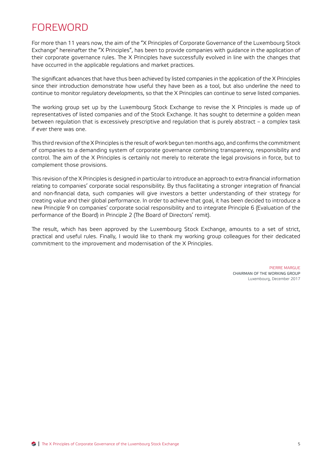# FOREWORD

For more than 11 years now, the aim of the "X Principles of Corporate Governance of the Luxembourg Stock Exchange" hereinafter the "X Principles", has been to provide companies with guidance in the application of their corporate governance rules. The X Principles have successfully evolved in line with the changes that have occurred in the applicable regulations and market practices.

The significant advances that have thus been achieved by listed companies in the application of the X Principles since their introduction demonstrate how useful they have been as a tool, but also underline the need to continue to monitor regulatory developments, so that the X Principles can continue to serve listed companies.

The working group set up by the Luxembourg Stock Exchange to revise the X Principles is made up of representatives of listed companies and of the Stock Exchange. It has sought to determine a golden mean between regulation that is excessively prescriptive and regulation that is purely abstract – a complex task if ever there was one.

This third revision of the X Principles is the result of work begun ten months ago, and confirms the commitment of companies to a demanding system of corporate governance combining transparency, responsibility and control. The aim of the X Principles is certainly not merely to reiterate the legal provisions in force, but to complement those provisions.

This revision of the X Principles is designed in particular to introduce an approach to extra-financial information relating to companies' corporate social responsibility. By thus facilitating a stronger integration of financial and non-financial data, such companies will give investors a better understanding of their strategy for creating value and their global performance. In order to achieve that goal, it has been decided to introduce a new Principle 9 on companies' corporate social responsibility and to integrate Principle 6 (Evaluation of the performance of the Board) in Principle 2 (The Board of Directors' remit).

The result, which has been approved by the Luxembourg Stock Exchange, amounts to a set of strict, practical and useful rules. Finally, I would like to thank my working group colleagues for their dedicated commitment to the improvement and modernisation of the X Principles.

> PIERRE MARGUE CHAIRMAN OF THE WORKING GROUP Luxembourg, December 2017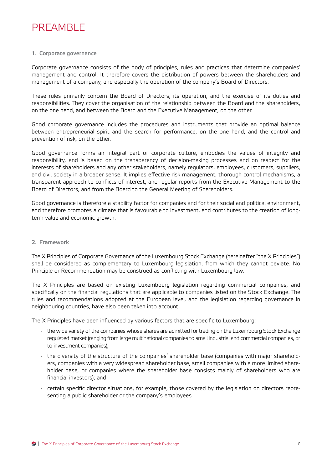### PRFAMBI F

#### 1. Corporate governance

Corporate governance consists of the body of principles, rules and practices that determine companies' management and control. It therefore covers the distribution of powers between the shareholders and management of a company, and especially the operation of the company's Board of Directors.

These rules primarily concern the Board of Directors, its operation, and the exercise of its duties and responsibilities. They cover the organisation of the relationship between the Board and the shareholders, on the one hand, and between the Board and the Executive Management, on the other.

Good corporate governance includes the procedures and instruments that provide an optimal balance between entrepreneurial spirit and the search for performance, on the one hand, and the control and prevention of risk, on the other.

Good governance forms an integral part of corporate culture, embodies the values of integrity and responsibility, and is based on the transparency of decision-making processes and on respect for the interests of shareholders and any other stakeholders, namely regulators, employees, customers, suppliers, and civil society in a broader sense. It implies effective risk management, thorough control mechanisms, a transparent approach to conflicts of interest, and regular reports from the Executive Management to the Board of Directors, and from the Board to the General Meeting of Shareholders.

Good governance is therefore a stability factor for companies and for their social and political environment, and therefore promotes a climate that is favourable to investment, and contributes to the creation of longterm value and economic growth.

#### 2. Framework

The X Principles of Corporate Governance of the Luxembourg Stock Exchange (hereinafter "the X Principles") shall be considered as complementary to Luxembourg legislation, from which they cannot deviate. No Principle or Recommendation may be construed as conflicting with Luxembourg law.

The X Principles are based on existing Luxembourg legislation regarding commercial companies, and specifically on the financial regulations that are applicable to companies listed on the Stock Exchange. The rules and recommendations adopted at the European level, and the legislation regarding governance in neighbouring countries, have also been taken into account.

The X Principles have been influenced by various factors that are specific to Luxembourg:

- the wide variety of the companies whose shares are admitted for trading on the Luxembourg Stock Exchange regulated market (ranging from large multinational companies to small industrial and commercial companies, or to investment companies);
- the diversity of the structure of the companies' shareholder base (companies with major shareholders, companies with a very widespread shareholder base, small companies with a more limited shareholder base, or companies where the shareholder base consists mainly of shareholders who are financial investors); and
- certain specific director situations, for example, those covered by the legislation on directors representing a public shareholder or the company's employees.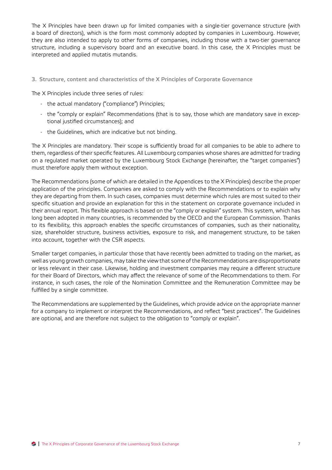The X Principles have been drawn up for limited companies with a single-tier governance structure (with a board of directors), which is the form most commonly adopted by companies in Luxembourg. However, they are also intended to apply to other forms of companies, including those with a two-tier governance structure, including a supervisory board and an executive board. In this case, the X Principles must be interpreted and applied mutatis mutandis.

3. Structure, content and characteristics of the X Principles of Corporate Governance

The X Principles include three series of rules:

- the actual mandatory ("compliance") Principles;
- the "comply or explain" Recommendations (that is to say, those which are mandatory save in exceptional justified circumstances); and
- the Guidelines, which are indicative but not binding.

The X Principles are mandatory. Their scope is sufficiently broad for all companies to be able to adhere to them, regardless of their specific features. All Luxembourg companies whose shares are admitted for trading on a regulated market operated by the Luxembourg Stock Exchange (hereinafter, the "target companies") must therefore apply them without exception.

The Recommendations (some of which are detailed in the Appendices to the X Principles) describe the proper application of the principles. Companies are asked to comply with the Recommendations or to explain why they are departing from them. In such cases, companies must determine which rules are most suited to their specific situation and provide an explanation for this in the statement on corporate governance included in their annual report. This flexible approach is based on the "comply or explain" system. This system, which has long been adopted in many countries, is recommended by the OECD and the European Commission. Thanks to its flexibility, this approach enables the specific circumstances of companies, such as their nationality, size, shareholder structure, business activities, exposure to risk, and management structure, to be taken into account, together with the CSR aspects.

Smaller target companies, in particular those that have recently been admitted to trading on the market, as well as young growth companies, may take the view that some of the Recommendations are disproportionate or less relevant in their case. Likewise, holding and investment companies may require a different structure for their Board of Directors, which may affect the relevance of some of the Recommendations to them. For instance, in such cases, the role of the Nomination Committee and the Remuneration Committee may be fulfilled by a single committee.

The Recommendations are supplemented by the Guidelines, which provide advice on the appropriate manner for a company to implement or interpret the Recommendations, and reflect "best practices". The Guidelines are optional, and are therefore not subject to the obligation to "comply or explain".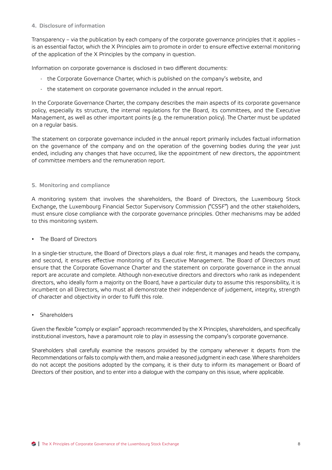#### 4. Disclosure of information

Transparency – via the publication by each company of the corporate governance principles that it applies – is an essential factor, which the X Principles aim to promote in order to ensure effective external monitoring of the application of the X Principles by the company in question.

Information on corporate governance is disclosed in two different documents:

- the Corporate Governance Charter, which is published on the company's website, and
- the statement on corporate governance included in the annual report.

In the Corporate Governance Charter, the company describes the main aspects of its corporate governance policy, especially its structure, the internal regulations for the Board, its committees, and the Executive Management, as well as other important points (e.g. the remuneration policy). The Charter must be updated on a regular basis.

The statement on corporate governance included in the annual report primarily includes factual information on the governance of the company and on the operation of the governing bodies during the year just ended, including any changes that have occurred, like the appointment of new directors, the appointment of committee members and the remuneration report.

#### 5. Monitoring and compliance

A monitoring system that involves the shareholders, the Board of Directors, the Luxembourg Stock Exchange, the Luxembourg Financial Sector Supervisory Commission ("CSSF") and the other stakeholders, must ensure close compliance with the corporate governance principles. Other mechanisms may be added to this monitoring system.

#### **•** The Board of Directors

In a single-tier structure, the Board of Directors plays a dual role: first, it manages and heads the company, and second, it ensures effective monitoring of its Executive Management. The Board of Directors must ensure that the Corporate Governance Charter and the statement on corporate governance in the annual report are accurate and complete. Although non-executive directors and directors who rank as independent directors, who ideally form a majority on the Board, have a particular duty to assume this responsibility, it is incumbent on all Directors, who must all demonstrate their independence of judgement, integrity, strength of character and objectivity in order to fulfil this role.

**•** Shareholders

Given the flexible "comply or explain" approach recommended by the X Principles, shareholders, and specifically institutional investors, have a paramount role to play in assessing the company's corporate governance.

Shareholders shall carefully examine the reasons provided by the company whenever it departs from the Recommendations or fails to comply with them, and make a reasoned judgment in each case. Where shareholders do not accept the positions adopted by the company, it is their duty to inform its management or Board of Directors of their position, and to enter into a dialogue with the company on this issue, where applicable.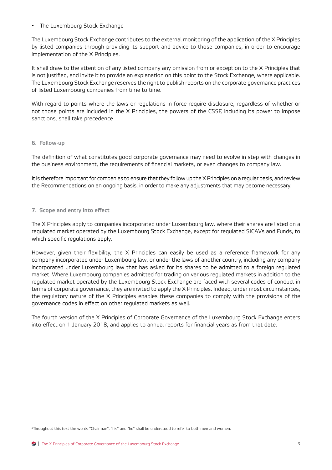**•** The Luxembourg Stock Exchange

The Luxembourg Stock Exchange contributes to the external monitoring of the application of the X Principles by listed companies through providing its support and advice to those companies, in order to encourage implementation of the X Principles.

It shall draw to the attention of any listed company any omission from or exception to the X Principles that is not justified, and invite it to provide an explanation on this point to the Stock Exchange, where applicable. The Luxembourg Stock Exchange reserves the right to publish reports on the corporate governance practices of listed Luxembourg companies from time to time.

With regard to points where the laws or regulations in force require disclosure, regardless of whether or not those points are included in the X Principles, the powers of the CSSF, including its power to impose sanctions, shall take precedence.

#### 6. Follow-up

The definition of what constitutes good corporate governance may need to evolve in step with changes in the business environment, the requirements of financial markets, or even changes to company law.

It is therefore important for companies to ensure that they follow up the X Principles on a regular basis, and review the Recommendations on an ongoing basis, in order to make any adjustments that may become necessary.

#### 7. Scope and entry into effect

The X Principles apply to companies incorporated under Luxembourg law, where their shares are listed on a regulated market operated by the Luxembourg Stock Exchange, except for regulated SICAVs and Funds, to which specific regulations apply.

However, given their flexibility, the X Principles can easily be used as a reference framework for any company incorporated under Luxembourg law, or under the laws of another country, including any company incorporated under Luxembourg law that has asked for its shares to be admitted to a foreign regulated market. Where Luxembourg companies admitted for trading on various regulated markets in addition to the regulated market operated by the Luxembourg Stock Exchange are faced with several codes of conduct in terms of corporate governance, they are invited to apply the X Principles. Indeed, under most circumstances, the regulatory nature of the X Principles enables these companies to comply with the provisions of the governance codes in effect on other regulated markets as well.

The fourth version of the X Principles of Corporate Governance of the Luxembourg Stock Exchange enters into effect on 1 January 2018, and applies to annual reports for financial years as from that date.

2Throughout this text the words "Chairman", "his" and "he" shall be understood to refer to both men and women.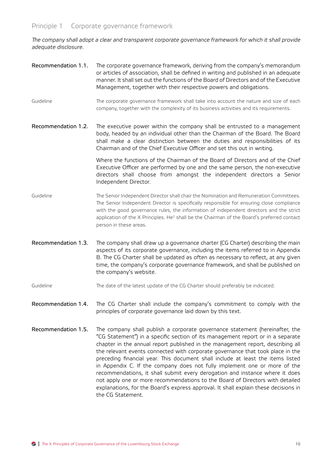#### Principle 1 Corporate governance framework

The company shall adopt a clear and transparent corporate governance framework for which it shall provide adequate disclosure.

#### Recommendation 1.1. The corporate governance framework, deriving from the company's memorandum or articles of association, shall be defined in writing and published in an adequate manner. It shall set out the functions of the Board of Directors and of the Executive Management, together with their respective powers and obligations.

Guideline The corporate governance framework shall take into account the nature and size of each company, together with the complexity of its business activities and its requirements.

Recommendation 1.2. The executive power within the company shall be entrusted to a management body, headed by an individual other than the Chairman of the Board. The Board shall make a clear distinction between the duties and responsibilities of its Chairman and of the Chief Executive Officer and set this out in writing.

> Where the functions of the Chairman of the Board of Directors and of the Chief Executive Officer are performed by one and the same person, the non-executive directors shall choose from amongst the independent directors a Senior Independent Director.

- Guideline The Senior Independent Director shall chair the Nomination and Remuneration Committees. The Senior Independent Director is specifically responsible for ensuring close compliance with the good governance rules, the information of independent directors and the strict application of the X Principles. He<sup>2</sup> shall be the Chairman of the Board's preferred contact person in these areas.
- Recommendation 1.3. The company shall draw up a governance charter (CG Charter) describing the main aspects of its corporate governance, including the items referred to in Appendix B. The CG Charter shall be updated as often as necessary to reflect, at any given time, the company's corporate governance framework, and shall be published on the company's website.
- Guideline The date of the latest update of the CG Charter should preferably be indicated.

#### Recommendation 1.4. The CG Charter shall include the company's commitment to comply with the principles of corporate governance laid down by this text.

Recommendation 1.5. The company shall publish a corporate governance statement (hereinafter, the "CG Statement") in a specific section of its management report or in a separate chapter in the annual report published in the management report, describing all the relevant events connected with corporate governance that took place in the preceding financial year. This document shall include at least the items listed in Appendix C. If the company does not fully implement one or more of the recommendations, it shall submit every derogation and instance where it does not apply one or more recommendations to the Board of Directors with detailed explanations, for the Board's express approval. It shall explain these decisions in the CG Statement.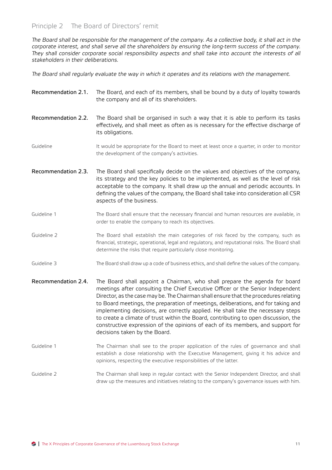#### Principle 2 The Board of Directors' remit

The Board shall be responsible for the management of the company. As a collective body, it shall act in the corporate interest, and shall serve all the shareholders by ensuring the long-term success of the company. They shall consider corporate social responsibility aspects and shall take into account the interests of all stakeholders in their deliberations.

The Board shall regularly evaluate the way in which it operates and its relations with the management.

| Recommendation 2.1. | The Board, and each of its members, shall be bound by a duty of loyalty towards<br>the company and all of its shareholders.                                                                                                                                                                                                                                                                                                                                                                                                                                                                                                               |
|---------------------|-------------------------------------------------------------------------------------------------------------------------------------------------------------------------------------------------------------------------------------------------------------------------------------------------------------------------------------------------------------------------------------------------------------------------------------------------------------------------------------------------------------------------------------------------------------------------------------------------------------------------------------------|
| Recommendation 2.2. | The Board shall be organised in such a way that it is able to perform its tasks<br>effectively, and shall meet as often as is necessary for the effective discharge of<br>its obligations.                                                                                                                                                                                                                                                                                                                                                                                                                                                |
| Guideline           | It would be appropriate for the Board to meet at least once a quarter, in order to monitor<br>the development of the company's activities.                                                                                                                                                                                                                                                                                                                                                                                                                                                                                                |
| Recommendation 2.3. | The Board shall specifically decide on the values and objectives of the company,<br>its strategy and the key policies to be implemented, as well as the level of risk<br>acceptable to the company. It shall draw up the annual and periodic accounts. In<br>defining the values of the company, the Board shall take into consideration all CSR<br>aspects of the business.                                                                                                                                                                                                                                                              |
| Guideline 1         | The Board shall ensure that the necessary financial and human resources are available, in<br>order to enable the company to reach its objectives.                                                                                                                                                                                                                                                                                                                                                                                                                                                                                         |
| Guideline 2         | The Board shall establish the main categories of risk faced by the company, such as<br>financial, strategic, operational, legal and regulatory, and reputational risks. The Board shall<br>determine the risks that require particularly close monitoring.                                                                                                                                                                                                                                                                                                                                                                                |
| Guideline 3         | The Board shall draw up a code of business ethics, and shall define the values of the company.                                                                                                                                                                                                                                                                                                                                                                                                                                                                                                                                            |
| Recommendation 2.4. | The Board shall appoint a Chairman, who shall prepare the agenda for board<br>meetings after consulting the Chief Executive Officer or the Senior Independent<br>Director, as the case may be. The Chairman shall ensure that the procedures relating<br>to Board meetings, the preparation of meetings, deliberations, and for taking and<br>implementing decisions, are correctly applied. He shall take the necessary steps<br>to create a climate of trust within the Board, contributing to open discussion, the<br>constructive expression of the opinions of each of its members, and support for<br>decisions taken by the Board. |
| Guideline 1         | The Chairman shall see to the proper application of the rules of governance and shall<br>establish a close relationship with the Executive Management, giving it his advice and<br>opinions, respecting the executive responsibilities of the latter.                                                                                                                                                                                                                                                                                                                                                                                     |
| Guideline 2         | The Chairman shall keep in regular contact with the Senior Independent Director, and shall<br>draw up the measures and initiatives relating to the company's governance issues with him.                                                                                                                                                                                                                                                                                                                                                                                                                                                  |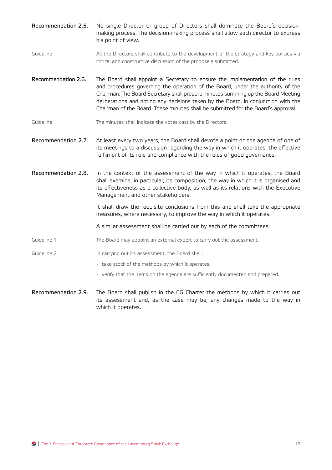Recommendation 2.5. No single Director or group of Directors shall dominate the Board's decisionmaking process. The decision-making process shall allow each director to express his point of view.

Guideline **All the Directors shall contribute to the development of the strategy and key policies via** critical and constructive discussion of the proposals submitted.

Recommendation 2.6. The Board shall appoint a Secretary to ensure the implementation of the rules and procedures governing the operation of the Board, under the authority of the Chairman. The Board Secretary shall prepare minutes summing up the Board Meeting deliberations and noting any decisions taken by the Board, in conjunction with the Chairman of the Board. These minutes shall be submitted for the Board's approval.

Guideline The minutes shall indicate the votes cast by the Directors.

- Recommendation 2.7. At least every two years, the Board shall devote a point on the agenda of one of its meetings to a discussion regarding the way in which it operates, the effective fulfilment of its role and compliance with the rules of good governance.
- Recommendation 2.8. In the context of the assessment of the way in which it operates, the Board shall examine, in particular, its composition, the way in which it is organised and its effectiveness as a collective body, as well as its relations with the Executive Management and other stakeholders.

It shall draw the requisite conclusions from this and shall take the appropriate measures, where necessary, to improve the way in which it operates.

A similar assessment shall be carried out by each of the committees.

- Guideline 1 The Board may appoint an external expert to carry out the assessment.
- Guideline 2 In carrying out its assessment, the Board shall:
	- take stock of the methods by which it operates;
	- verify that the items on the agenda are sufficiently documented and prepared.
- Recommendation 2.9. The Board shall publish in the CG Charter the methods by which it carries out its assessment and, as the case may be, any changes made to the way in which it operates.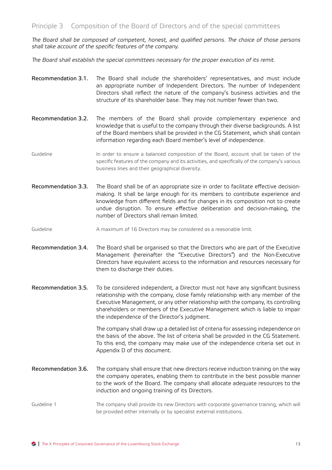The Board shall be composed of competent, honest, and qualified persons. The choice of those persons shall take account of the specific features of the company.

The Board shall establish the special committees necessary for the proper execution of its remit.

- Recommendation 3.1. The Board shall include the shareholders' representatives, and must include an appropriate number of Independent Directors. The number of Independent Directors shall reflect the nature of the company's business activities and the structure of its shareholder base. They may not number fewer than two.
- Recommendation 3.2. The members of the Board shall provide complementary experience and knowledge that is useful to the company through their diverse backgrounds. A list of the Board members shall be provided in the CG Statement, which shall contain information regarding each Board member's level of independence.
- Guideline In order to ensure a balanced composition of the Board, account shall be taken of the specific features of the company and its activities, and specifically of the company's various business lines and their geographical diversity.
- Recommendation 3.3. The Board shall be of an appropriate size in order to facilitate effective decisionmaking. It shall be large enough for its members to contribute experience and knowledge from different fields and for changes in its composition not to create undue disruption. To ensure effective deliberation and decision-making, the number of Directors shall remain limited.
- Guideline A maximum of 16 Directors may be considered as a reasonable limit.
- Recommendation 3.4. The Board shall be organised so that the Directors who are part of the Executive Management (hereinafter the "Executive Directors") and the Non-Executive Directors have equivalent access to the information and resources necessary for them to discharge their duties.
- Recommendation 3.5. To be considered independent, a Director must not have any significant business relationship with the company, close family relationship with any member of the Executive Management, or any other relationship with the company, its controlling shareholders or members of the Executive Management which is liable to impair the independence of the Director's judgment.

The company shall draw up a detailed list of criteria for assessing independence on the basis of the above. The list of criteria shall be provided in the CG Statement. To this end, the company may make use of the independence criteria set out in Appendix D of this document.

- Recommendation 3.6. The company shall ensure that new directors receive induction training on the way the company operates, enabling them to contribute in the best possible manner to the work of the Board. The company shall allocate adequate resources to the induction and ongoing training of its Directors.
- Guideline 1 The company shall provide its new Directors with corporate governance training, which will be provided either internally or by specialist external institutions.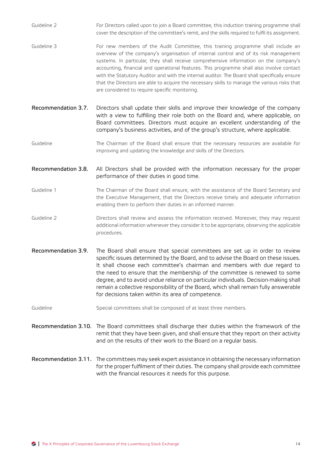Guideline 2 **For Directors called upon to join a Board committee, this induction training programme shall** cover the description of the committee's remit, and the skills required to fulfil its assignment.

- Guideline 3 **For new members of the Audit Committee**, this training programme shall include an overview of the company's organisation of internal control and of its risk management systems. In particular, they shall receive comprehensive information on the company's accounting, financial and operational features. This programme shall also involve contact with the Statutory Auditor and with the internal auditor. The Board shall specifically ensure that the Directors are able to acquire the necessary skills to manage the various risks that are considered to require specific monitoring.
- Recommendation 3.7. Directors shall update their skills and improve their knowledge of the company with a view to fulfilling their role both on the Board and, where applicable, on Board committees. Directors must acquire an excellent understanding of the company's business activities, and of the group's structure, where applicable.
- Guideline The Chairman of the Board shall ensure that the necessary resources are available for improving and updating the knowledge and skills of the Directors.
- Recommendation 3.8. All Directors shall be provided with the information necessary for the proper performance of their duties in good time.
- Guideline 1 The Chairman of the Board shall ensure, with the assistance of the Board Secretary and the Executive Management, that the Directors receive timely and adequate information enabling them to perform their duties in an informed manner.
- Guideline 2 Directors shall review and assess the information received. Moreover, they may request additional information whenever they consider it to be appropriate, observing the applicable procedures.
- Recommendation 3.9. The Board shall ensure that special committees are set up in order to review specific issues determined by the Board, and to advise the Board on these issues. It shall choose each committee's chairman and members with due regard to the need to ensure that the membership of the committee is renewed to some degree, and to avoid undue reliance on particular individuals. Decision-making shall remain a collective responsibility of the Board, which shall remain fully answerable for decisions taken within its area of competence.
- Guideline Special committees shall be composed of at least three members.
- Recommendation 3.10. The Board committees shall discharge their duties within the framework of the remit that they have been given, and shall ensure that they report on their activity and on the results of their work to the Board on a regular basis.
- Recommendation 3.11. The committees may seek expert assistance in obtaining the necessary information for the proper fulfilment of their duties. The company shall provide each committee with the financial resources it needs for this purpose.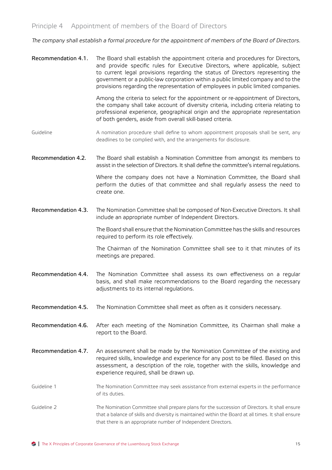The company shall establish a formal procedure for the appointment of members of the Board of Directors.

| Recommendation 4.1. | The Board shall establish the appointment criteria and procedures for Directors,  |
|---------------------|-----------------------------------------------------------------------------------|
|                     | and provide specific rules for Executive Directors, where applicable, subject     |
|                     | to current legal provisions regarding the status of Directors representing the    |
|                     | government or a public-law corporation within a public limited company and to the |
|                     | provisions regarding the representation of employees in public limited companies. |

Among the criteria to select for the appointment or re-appointment of Directors, the company shall take account of diversity criteria, including criteria relating to professional experience, geographical origin and the appropriate representation of both genders, aside from overall skill-based criteria.

Guideline **A** nomination procedure shall define to whom appointment proposals shall be sent, any deadlines to be complied with, and the arrangements for disclosure.

Recommendation 4.2. The Board shall establish a Nomination Committee from amongst its members to assist in the selection of Directors. It shall define the committee's internal regulations.

> Where the company does not have a Nomination Committee, the Board shall perform the duties of that committee and shall regularly assess the need to create one.

Recommendation 4.3. The Nomination Committee shall be composed of Non-Executive Directors. It shall include an appropriate number of Independent Directors.

> The Board shall ensure that the Nomination Committee has the skills and resources required to perform its role effectively.

> The Chairman of the Nomination Committee shall see to it that minutes of its meetings are prepared.

- Recommendation 4.4. The Nomination Committee shall assess its own effectiveness on a regular basis, and shall make recommendations to the Board regarding the necessary adjustments to its internal regulations.
- Recommendation 4.5. The Nomination Committee shall meet as often as it considers necessary.
- Recommendation 4.6. After each meeting of the Nomination Committee, its Chairman shall make a report to the Board.
- Recommendation 4.7. An assessment shall be made by the Nomination Committee of the existing and required skills, knowledge and experience for any post to be filled. Based on this assessment, a description of the role, together with the skills, knowledge and experience required, shall be drawn up.
- Guideline 1 The Nomination Committee may seek assistance from external experts in the performance of its duties.
- Guideline 2 The Nomination Committee shall prepare plans for the succession of Directors. It shall ensure that a balance of skills and diversity is maintained within the Board at all times. It shall ensure that there is an appropriate number of Independent Directors.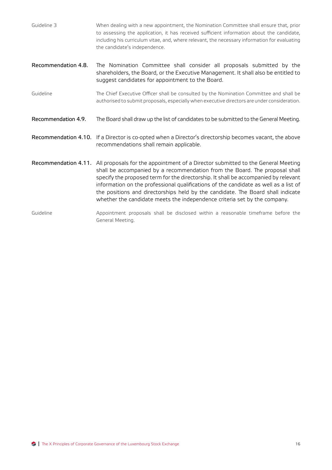Guideline 3 When dealing with a new appointment, the Nomination Committee shall ensure that, prior to assessing the application, it has received sufficient information about the candidate, including his curriculum vitae, and, where relevant, the necessary information for evaluating the candidate's independence.

Recommendation 4.8. The Nomination Committee shall consider all proposals submitted by the shareholders, the Board, or the Executive Management. It shall also be entitled to suggest candidates for appointment to the Board.

Guideline The Chief Executive Officer shall be consulted by the Nomination Committee and shall be authorised to submit proposals, especially when executive directors are under consideration.

Recommendation 4.9. The Board shall draw up the list of candidates to be submitted to the General Meeting.

Recommendation 4.10. If a Director is co-opted when a Director's directorship becomes vacant, the above recommendations shall remain applicable.

Recommendation 4.11. All proposals for the appointment of a Director submitted to the General Meeting shall be accompanied by a recommendation from the Board. The proposal shall specify the proposed term for the directorship. It shall be accompanied by relevant information on the professional qualifications of the candidate as well as a list of the positions and directorships held by the candidate. The Board shall indicate whether the candidate meets the independence criteria set by the company.

Guideline Appointment proposals shall be disclosed within a reasonable timeframe before the General Meeting.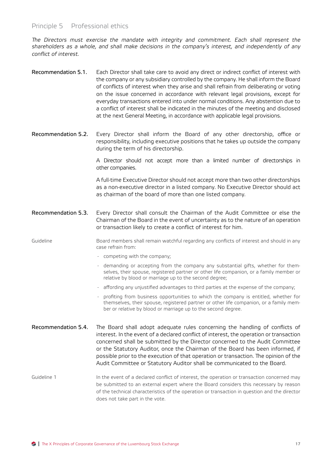The Directors must exercise the mandate with integrity and commitment. Each shall represent the shareholders as a whole, and shall make decisions in the company's interest, and independently of any conflict of interest.

- Recommendation 5.1. Each Director shall take care to avoid any direct or indirect conflict of interest with the company or any subsidiary controlled by the company. He shall inform the Board of conflicts of interest when they arise and shall refrain from deliberating or voting on the issue concerned in accordance with relevant legal provisions, except for everyday transactions entered into under normal conditions. Any abstention due to a conflict of interest shall be indicated in the minutes of the meeting and disclosed at the next General Meeting, in accordance with applicable legal provisions.
- Recommendation 5.2. Every Director shall inform the Board of any other directorship, office or responsibility, including executive positions that he takes up outside the company during the term of his directorship.

A Director should not accept more than a limited number of directorships in other companies.

A full-time Executive Director should not accept more than two other directorships as a non-executive director in a listed company. No Executive Director should act as chairman of the board of more than one listed company.

Recommendation 5.3. Every Director shall consult the Chairman of the Audit Committee or else the Chairman of the Board in the event of uncertainty as to the nature of an operation or transaction likely to create a conflict of interest for him.

Guideline Board members shall remain watchful regarding any conflicts of interest and should in any case refrain from:

- competing with the company;
- demanding or accepting from the company any substantial gifts, whether for themselves, their spouse, registered partner or other life companion, or a family member or relative by blood or marriage up to the second degree;
- affording any unjustified advantages to third parties at the expense of the company;
- profiting from business opportunities to which the company is entitled, whether for themselves, their spouse, registered partner or other life companion, or a family member or relative by blood or marriage up to the second degree.
- Recommendation 5.4. The Board shall adopt adequate rules concerning the handling of conflicts of interest. In the event of a declared conflict of interest, the operation or transaction concerned shall be submitted by the Director concerned to the Audit Committee or the Statutory Auditor, once the Chairman of the Board has been informed, if possible prior to the execution of that operation or transaction. The opinion of the Audit Committee or Statutory Auditor shall be communicated to the Board.
- Guideline 1 **In the event of a declared conflict of interest**, the operation or transaction concerned may be submitted to an external expert where the Board considers this necessary by reason of the technical characteristics of the operation or transaction in question and the director does not take part in the vote.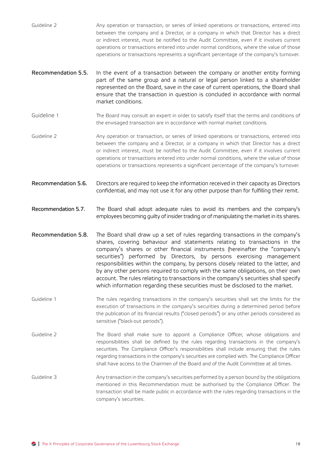Guideline 2 **Any operation or transaction, or series of linked operations or transactions, entered into** between the company and a Director, or a company in which that Director has a direct or indirect interest, must be notified to the Audit Committee, even if it involves current operations or transactions entered into under normal conditions, where the value of those operations or transactions represents a significant percentage of the company's turnover.

#### Recommendation 5.5. In the event of a transaction between the company or another entity forming part of the same group and a natural or legal person linked to a shareholder represented on the Board, save in the case of current operations, the Board shall ensure that the transaction in question is concluded in accordance with normal market conditions.

- Guideline 1 The Board may consult an expert in order to satisfy itself that the terms and conditions of the envisaged transaction are in accordance with normal market conditions.
- Guideline 2 Any operation or transaction, or series of linked operations or transactions, entered into between the company and a Director, or a company in which that Director has a direct or indirect interest, must be notified to the Audit Committee, even if it involves current operations or transactions entered into under normal conditions, where the value of those operations or transactions represents a significant percentage of the company's turnover.
- Recommendation 5.6. Directors are required to keep the information received in their capacity as Directors confidential, and may not use it for any other purpose than for fulfilling their remit.
- Recommendation 5.7. The Board shall adopt adequate rules to avoid its members and the company's employees becoming guilty of insider trading or of manipulating the market in its shares.
- Recommendation 5.8. The Board shall draw up a set of rules regarding transactions in the company's shares, covering behaviour and statements relating to transactions in the company's shares or other financial instruments (hereinafter the "company's securities") performed by Directors, by persons exercising management responsibilities within the company, by persons closely related to the latter, and by any other persons required to comply with the same obligations, on their own account. The rules relating to transactions in the company's securities shall specify which information regarding these securities must be disclosed to the market.
- Guideline 1 The rules regarding transactions in the company's securities shall set the limits for the execution of transactions in the company's securities during a determined period before the publication of its financial results ("closed periods") or any other periods considered as sensitive ("black-out periods").
- Guideline 2 The Board shall make sure to appoint a Compliance Officer, whose obligations and responsibilities shall be defined by the rules regarding transactions in the company's securities. The Compliance Officer's responsibilities shall include ensuring that the rules regarding transactions in the company's securities are complied with. The Compliance Officer shall have access to the Chairmen of the Board and of the Audit Committee at all times.
- Guideline 3 Any transaction in the company's securities performed by a person bound by the obligations mentioned in this Recommendation must be authorised by the Compliance Officer. The transaction shall be made public in accordance with the rules regarding transactions in the company's securities.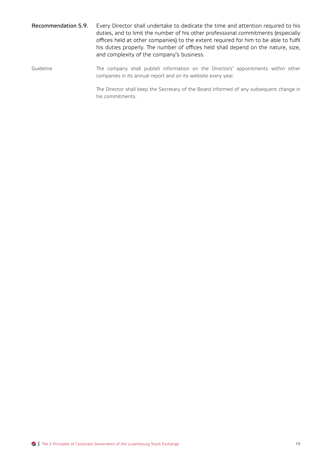Recommendation 5.9. Every Director shall undertake to dedicate the time and attention required to his duties, and to limit the number of his other professional commitments (especially offices held at other companies) to the extent required for him to be able to fulfil his duties properly. The number of offices held shall depend on the nature, size, and complexity of the company's business.

Guideline The company shall publish information on the Directors' appointments within other companies in its annual report and on its website every year.

> The Director shall keep the Secretary of the Board informed of any subsequent change in his commitments.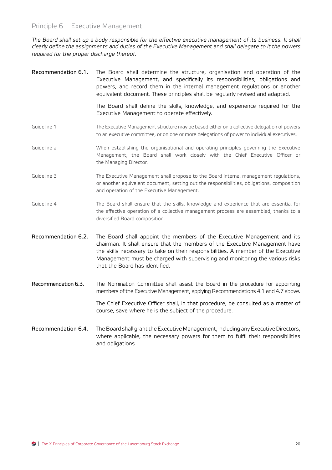The Board shall set up a body responsible for the effective executive management of its business. It shall clearly define the assignments and duties of the Executive Management and shall delegate to it the powers required for the proper discharge thereof.

| Recommendation 6.1. | The Board shall determine the structure, organisation and operation of the<br>Executive Management, and specifically its responsibilities, obligations and<br>powers, and record them in the internal management regulations or another<br>equivalent document. These principles shall be regularly revised and adapted.                                      |
|---------------------|---------------------------------------------------------------------------------------------------------------------------------------------------------------------------------------------------------------------------------------------------------------------------------------------------------------------------------------------------------------|
|                     | The Board shall define the skills, knowledge, and experience required for the<br>Executive Management to operate effectively.                                                                                                                                                                                                                                 |
| Guideline 1         | The Executive Management structure may be based either on a collective delegation of powers<br>to an executive committee, or on one or more delegations of power to individual executives.                                                                                                                                                                    |
| Guideline 2         | When establishing the organisational and operating principles governing the Executive<br>Management, the Board shall work closely with the Chief Executive Officer or<br>the Managing Director.                                                                                                                                                               |
| Guideline 3         | The Executive Management shall propose to the Board internal management regulations,<br>or another equivalent document, setting out the responsibilities, obligations, composition<br>and operation of the Executive Management.                                                                                                                              |
| Guideline 4         | The Board shall ensure that the skills, knowledge and experience that are essential for<br>the effective operation of a collective management process are assembled, thanks to a<br>diversified Board composition.                                                                                                                                            |
| Recommendation 6.2. | The Board shall appoint the members of the Executive Management and its<br>chairman. It shall ensure that the members of the Executive Management have<br>the skills necessary to take on their responsibilities. A member of the Executive<br>Management must be charged with supervising and monitoring the various risks<br>that the Board has identified. |
| Recommendation 6.3. | The Nomination Committee shall assist the Board in the procedure for appointing<br>members of the Executive Management, applying Recommendations 4.1 and 4.7 above.                                                                                                                                                                                           |
|                     | The Chief Executive Officer shall, in that procedure, be consulted as a matter of<br>course, save where he is the subject of the procedure.                                                                                                                                                                                                                   |
| Recommendation 6.4. | The Board shall grant the Executive Management, including any Executive Directors,<br>where applicable, the necessary powers for them to fulfil their responsibilities<br>and obligations.                                                                                                                                                                    |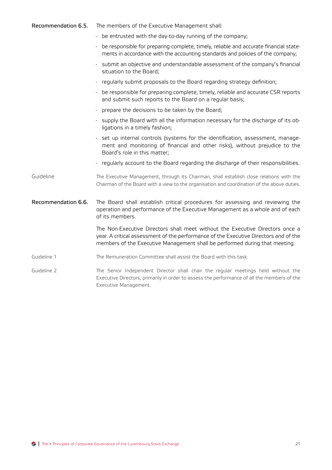| Recommendation 6.5. | The members of the Executive Management shall:                                                                                                                                                                                                       |
|---------------------|------------------------------------------------------------------------------------------------------------------------------------------------------------------------------------------------------------------------------------------------------|
|                     | - be entrusted with the day-to-day running of the company;                                                                                                                                                                                           |
|                     | be responsible for preparing complete, timely, reliable and accurate financial state-<br>ments in accordance with the accounting standards and policies of the company;                                                                              |
|                     | submit an objective and understandable assessment of the company's financial<br>situation to the Board;                                                                                                                                              |
|                     | - regularly submit proposals to the Board regarding strategy definition;                                                                                                                                                                             |
|                     | be responsible for preparing complete, timely, reliable and accurate CSR reports<br>and submit such reports to the Board on a regular basis;                                                                                                         |
|                     | prepare the decisions to be taken by the Board;                                                                                                                                                                                                      |
|                     | supply the Board with all the information necessary for the discharge of its ob-<br>ligations in a timely fashion;                                                                                                                                   |
|                     | set up internal controls (systems for the identification, assessment, manage-<br>ment and monitoring of financial and other risks), without prejudice to the<br>Board's role in this matter;                                                         |
|                     | - regularly account to the Board regarding the discharge of their responsibilities.                                                                                                                                                                  |
| Guideline           | The Executive Management, through its Chairman, shall establish close relations with the<br>Chairman of the Board with a view to the organisation and coordination of the above duties.                                                              |
| Recommendation 6.6. | The Board shall establish critical procedures for assessing and reviewing the<br>operation and performance of the Executive Management as a whole and of each<br>of its members.                                                                     |
|                     | The Non-Executive Directors shall meet without the Executive Directors once a<br>year. A critical assessment of the performance of the Executive Directors and of the<br>members of the Executive Management shall be performed during that meeting. |
| Guideline 1         | The Remuneration Committee shall assist the Board with this task.                                                                                                                                                                                    |
| Guideline 2         | The Senior Independent Director shall chair the regular meetings held without the<br>Executive Directors, primarily in order to assess the performance of all the members of the<br>Executive Management.                                            |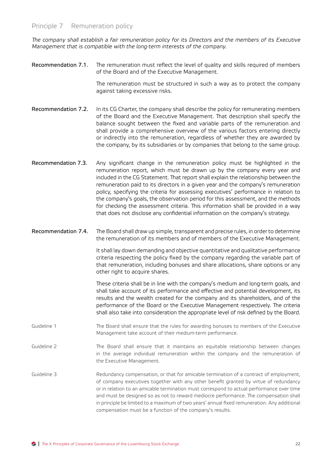#### Principle 7 Remuneration policy

The company shall establish a fair remuneration policy for its Directors and the members of its Executive Management that is compatible with the long-term interests of the company.

Recommendation 7.1. The remuneration must reflect the level of quality and skills required of members of the Board and of the Executive Management.

> The remuneration must be structured in such a way as to protect the company against taking excessive risks.

- Recommendation 7.2. In its CG Charter, the company shall describe the policy for remunerating members of the Board and the Executive Management. That description shall specify the balance sought between the fixed and variable parts of the remuneration and shall provide a comprehensive overview of the various factors entering directly or indirectly into the remuneration, regardless of whether they are awarded by the company, by its subsidiaries or by companies that belong to the same group.
- Recommendation 7.3. Any significant change in the remuneration policy must be highlighted in the remuneration report, which must be drawn up by the company every year and included in the CG Statement. That report shall explain the relationship between the remuneration paid to its directors in a given year and the company's remuneration policy, specifying the criteria for assessing executives' performance in relation to the company's goals, the observation period for this assessment, and the methods for checking the assessment criteria. This information shall be provided in a way that does not disclose any confidential information on the company's strategy.
- Recommendation 7.4. The Board shall draw up simple, transparent and precise rules, in order to determine the remuneration of its members and of members of the Executive Management.

It shall lay down demanding and objective quantitative and qualitative performance criteria respecting the policy fixed by the company regarding the variable part of that remuneration, including bonuses and share allocations, share options or any other right to acquire shares.

These criteria shall be in line with the company's medium and long-term goals, and shall take account of its performance and effective and potential development, its results and the wealth created for the company and its shareholders, and of the performance of the Board or the Executive Management respectively. The criteria shall also take into consideration the appropriate level of risk defined by the Board.

- Guideline 1 The Board shall ensure that the rules for awarding bonuses to members of the Executive Management take account of their medium-term performance.
- Guideline 2 The Board shall ensure that it maintains an equitable relationship between changes in the average individual remuneration within the company and the remuneration of the Executive Management.

Guideline 3 Redundancy compensation, or that for amicable termination of a contract of employment, of company executives together with any other benefit granted by virtue of redundancy or in relation to an amicable termination must correspond to actual performance over time and must be designed so as not to reward mediocre performance. The compensation shall in principle be limited to a maximum of two years' annual fixed remuneration. Any additional compensation must be a function of the company's results.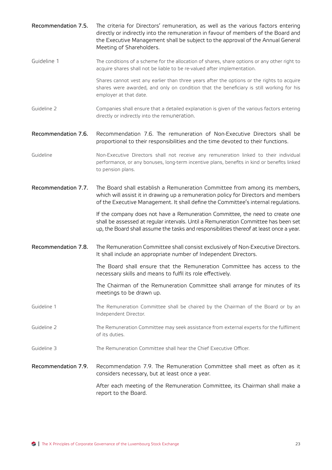- Recommendation 7.5. The criteria for Directors' remuneration, as well as the various factors entering directly or indirectly into the remuneration in favour of members of the Board and the Executive Management shall be subject to the approval of the Annual General Meeting of Shareholders.
- Guideline 1 The conditions of a scheme for the allocation of shares, share options or any other right to acquire shares shall not be liable to be re-valued after implementation.

Shares cannot vest any earlier than three years after the options or the rights to acquire shares were awarded, and only on condition that the beneficiary is still working for his employer at that date.

- Guideline 2 Companies shall ensure that a detailed explanation is given of the various factors entering directly or indirectly into the remuneration.
- Recommendation 7.6. Recommendation 7.6. The remuneration of Non-Executive Directors shall be proportional to their responsibilities and the time devoted to their functions.
- Guideline Non-Executive Directors shall not receive any remuneration linked to their individual performance, or any bonuses, long-term incentive plans, benefits in kind or benefits linked to pension plans.
- Recommendation 7.7. The Board shall establish a Remuneration Committee from among its members, which will assist it in drawing up a remuneration policy for Directors and members of the Executive Management. It shall define the Committee's internal regulations.

If the company does not have a Remuneration Committee, the need to create one shall be assessed at regular intervals. Until a Remuneration Committee has been set up, the Board shall assume the tasks and responsibilities thereof at least once a year.

Recommendation 7.8. The Remuneration Committee shall consist exclusively of Non-Executive Directors. It shall include an appropriate number of Independent Directors.

> The Board shall ensure that the Remuneration Committee has access to the necessary skills and means to fulfil its role effectively.

> The Chairman of the Remuneration Committee shall arrange for minutes of its meetings to be drawn up.

- Guideline 1 The Remuneration Committee shall be chaired by the Chairman of the Board or by an Independent Director.
- Guideline 2 The Remuneration Committee may seek assistance from external experts for the fulfilment of its duties.
- Guideline 3 The Remuneration Committee shall hear the Chief Executive Officer.
- Recommendation 7.9. Recommendation 7.9. The Remuneration Committee shall meet as often as it considers necessary, but at least once a year.

After each meeting of the Remuneration Committee, its Chairman shall make a report to the Board.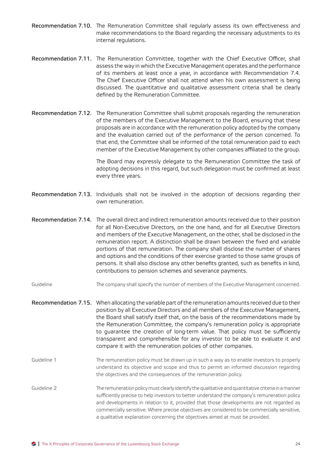- Recommendation 7.10. The Remuneration Committee shall regularly assess its own effectiveness and make recommendations to the Board regarding the necessary adjustments to its internal regulations.
- Recommendation 7.11. The Remuneration Committee, together with the Chief Executive Officer, shall assess the way in which the Executive Management operates and the performance of its members at least once a year, in accordance with Recommendation 7.4. The Chief Executive Officer shall not attend when his own assessment is being discussed. The quantitative and qualitative assessment criteria shall be clearly defined by the Remuneration Committee.
- Recommendation 7.12. The Remuneration Committee shall submit proposals regarding the remuneration of the members of the Executive Management to the Board, ensuring that these proposals are in accordance with the remuneration policy adopted by the company and the evaluation carried out of the performance of the person concerned. To that end, the Committee shall be informed of the total remuneration paid to each member of the Executive Management by other companies affiliated to the group.

The Board may expressly delegate to the Remuneration Committee the task of adopting decisions in this regard, but such delegation must be confirmed at least every three years.

- Recommendation 7.13. Individuals shall not be involved in the adoption of decisions regarding their own remuneration.
- Recommendation 7.14. The overall direct and indirect remuneration amounts received due to their position for all Non-Executive Directors, on the one hand, and for all Executive Directors and members of the Executive Management, on the other, shall be disclosed in the remuneration report. A distinction shall be drawn between the fixed and variable portions of that remuneration. The company shall disclose the number of shares and options and the conditions of their exercise granted to those same groups of persons. It shall also disclose any other benefits granted, such as benefits in kind, contributions to pension schemes and severance payments.

#### Guideline The company shall specify the number of members of the Executive Management concerned.

- Recommendation 7.15. When allocating the variable part of the remuneration amounts received due to their position by all Executive Directors and all members of the Executive Management, the Board shall satisfy itself that, on the basis of the recommendations made by the Remuneration Committee, the company's remuneration policy is appropriate to guarantee the creation of long-term value. That policy must be sufficiently transparent and comprehensible for any investor to be able to evaluate it and compare it with the remuneration policies of other companies.
- Guideline 1 The remuneration policy must be drawn up in such a way as to enable investors to properly understand its objective and scope and thus to permit an informed discussion regarding the objectives and the consequences of the remuneration policy.
- Guideline 2 The remuneration policy must clearly identify the qualitative and quantitative criteria in a manner sufficiently precise to help investors to better understand the company's remuneration policy and developments in relation to it, provided that those developments are not regarded as commercially sensitive. Where precise objectives are considered to be commercially sensitive, a qualitative explanation concerning the objectives aimed at must be provided.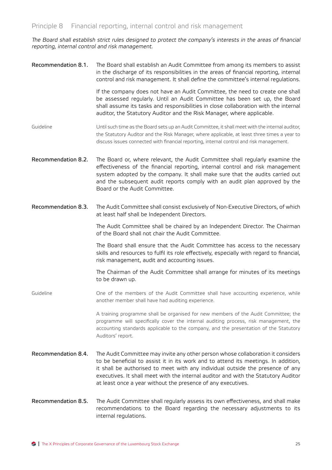The Board shall establish strict rules designed to protect the company's interests in the areas of financial reporting, internal control and risk management.

| Recommendation 8.1. | The Board shall establish an Audit Committee from among its members to assist<br>in the discharge of its responsibilities in the areas of financial reporting, internal<br>control and risk management. It shall define the committee's internal regulations.                                                                                                                                                  |
|---------------------|----------------------------------------------------------------------------------------------------------------------------------------------------------------------------------------------------------------------------------------------------------------------------------------------------------------------------------------------------------------------------------------------------------------|
|                     | If the company does not have an Audit Committee, the need to create one shall<br>be assessed regularly. Until an Audit Committee has been set up, the Board<br>shall assume its tasks and responsibilities in close collaboration with the internal<br>auditor, the Statutory Auditor and the Risk Manager, where applicable.                                                                                  |
| Guideline           | Until such time as the Board sets up an Audit Committee, it shall meet with the internal auditor,<br>the Statutory Auditor and the Risk Manager, where applicable, at least three times a year to<br>discuss issues connected with financial reporting, internal control and risk management.                                                                                                                  |
| Recommendation 8.2. | The Board or, where relevant, the Audit Committee shall regularly examine the<br>effectiveness of the financial reporting, internal control and risk management<br>system adopted by the company. It shall make sure that the audits carried out<br>and the subsequent audit reports comply with an audit plan approved by the<br>Board or the Audit Committee.                                                |
| Recommendation 8.3. | The Audit Committee shall consist exclusively of Non-Executive Directors, of which<br>at least half shall be Independent Directors.                                                                                                                                                                                                                                                                            |
|                     | The Audit Committee shall be chaired by an Independent Director. The Chairman<br>of the Board shall not chair the Audit Committee.                                                                                                                                                                                                                                                                             |
|                     | The Board shall ensure that the Audit Committee has access to the necessary<br>skills and resources to fulfil its role effectively, especially with regard to financial,<br>risk management, audit and accounting issues.                                                                                                                                                                                      |
|                     | The Chairman of the Audit Committee shall arrange for minutes of its meetings<br>to be drawn up.                                                                                                                                                                                                                                                                                                               |
| Guideline           | One of the members of the Audit Committee shall have accounting experience, while<br>another member shall have had auditing experience.                                                                                                                                                                                                                                                                        |
|                     | A training programme shall be organised for new members of the Audit Committee; the<br>programme will specifically cover the internal auditing process, risk management, the<br>accounting standards applicable to the company, and the presentation of the Statutory<br>Auditors' report.                                                                                                                     |
| Recommendation 8.4. | The Audit Committee may invite any other person whose collaboration it considers<br>to be beneficial to assist it in its work and to attend its meetings. In addition,<br>it shall be authorised to meet with any individual outside the presence of any<br>executives. It shall meet with the internal auditor and with the Statutory Auditor<br>at least once a year without the presence of any executives. |
| Recommendation 8.5. | The Audit Committee shall regularly assess its own effectiveness, and shall make<br>recommendations to the Board regarding the necessary adjustments to its<br>internal regulations.                                                                                                                                                                                                                           |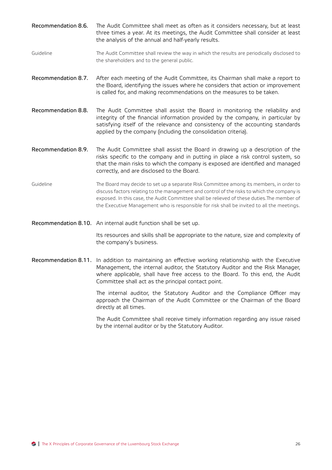- Recommendation 8.6. The Audit Committee shall meet as often as it considers necessary, but at least three times a year. At its meetings, the Audit Committee shall consider at least the analysis of the annual and half-yearly results.
- Guideline The Audit Committee shall review the way in which the results are periodically disclosed to the shareholders and to the general public.
- Recommendation 8.7. After each meeting of the Audit Committee, its Chairman shall make a report to the Board, identifying the issues where he considers that action or improvement is called for, and making recommendations on the measures to be taken.
- Recommendation 8.8. The Audit Committee shall assist the Board in monitoring the reliability and integrity of the financial information provided by the company, in particular by satisfying itself of the relevance and consistency of the accounting standards applied by the company (including the consolidation criteria).
- Recommendation 8.9. The Audit Committee shall assist the Board in drawing up a description of the risks specific to the company and in putting in place a risk control system, so that the main risks to which the company is exposed are identified and managed correctly, and are disclosed to the Board.
- Guideline The Board may decide to set up a separate Risk Committee among its members, in order to discuss factors relating to the management and control of the risks to which the company is exposed. In this case, the Audit Committee shall be relieved of these duties.The member of the Executive Management who is responsible for risk shall be invited to all the meetings.
- Recommendation 8.10. An internal audit function shall be set up.

Its resources and skills shall be appropriate to the nature, size and complexity of the company's business.

Recommendation 8.11. In addition to maintaining an effective working relationship with the Executive Management, the internal auditor, the Statutory Auditor and the Risk Manager, where applicable, shall have free access to the Board. To this end, the Audit Committee shall act as the principal contact point.

> The internal auditor, the Statutory Auditor and the Compliance Officer may approach the Chairman of the Audit Committee or the Chairman of the Board directly at all times.

> The Audit Committee shall receive timely information regarding any issue raised by the internal auditor or by the Statutory Auditor.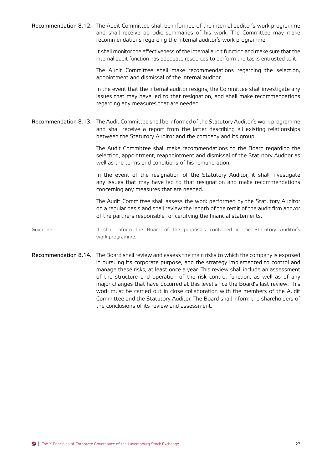Recommendation 8.12. The Audit Committee shall be informed of the internal auditor's work programme and shall receive periodic summaries of his work. The Committee may make recommendations regarding the internal auditor's work programme.

> It shall monitor the effectiveness of the internal audit function and make sure that the internal audit function has adequate resources to perform the tasks entrusted to it.

> The Audit Committee shall make recommendations regarding the selection, appointment and dismissal of the internal auditor.

> In the event that the internal auditor resigns, the Committee shall investigate any issues that may have led to that resignation, and shall make recommendations regarding any measures that are needed.

Recommendation 8.13. The Audit Committee shall be informed of the Statutory Auditor's work programme and shall receive a report from the latter describing all existing relationships between the Statutory Auditor and the company and its group.

> The Audit Committee shall make recommendations to the Board regarding the selection, appointment, reappointment and dismissal of the Statutory Auditor as well as the terms and conditions of his remuneration.

> In the event of the resignation of the Statutory Auditor, it shall investigate any issues that may have led to that resignation and make recommendations concerning any measures that are needed.

> The Audit Committee shall assess the work performed by the Statutory Auditor on a regular basis and shall review the length of the remit of the audit firm and/or of the partners responsible for certifying the financial statements.

Guideline **It shall inform the Board of the proposals contained in the Statutory Auditor's** work programme.

Recommendation 8.14. The Board shall review and assess the main risks to which the company is exposed in pursuing its corporate purpose, and the strategy implemented to control and manage these risks, at least once a year. This review shall include an assessment of the structure and operation of the risk control function, as well as of any major changes that have occurred at this level since the Board's last review. This work must be carried out in close collaboration with the members of the Audit Committee and the Statutory Auditor. The Board shall inform the shareholders of the conclusions of its review and assessment.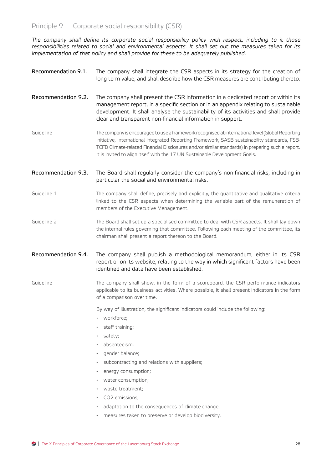#### Principle 9 Corporate social responsibility (CSR)

The company shall define its corporate social responsibility policy with respect, including to it those responsibilities related to social and environmental aspects. It shall set out the measures taken for its implementation of that policy and shall provide for these to be adequately published.

| Recommendation 9.2.<br>clear and transparent non-financial information in support.<br>Guideline<br>It is invited to align itself with the 17 UN Sustainable Development Goals.<br>Recommendation 9.3.<br>particular the social and environmental risks.<br>Guideline 1<br>members of the Executive Management.<br>Guideline 2<br>chairman shall present a report thereon to the Board.<br>Recommendation 9.4.<br>identified and data have been established.<br>Guideline<br>applicable to its business activities. Where possible, it shall present indicators in the form<br>of a comparison over time.<br>By way of illustration, the significant indicators could include the following:<br>• workforce;<br>staff training;<br>safety;<br>absenteeism;<br>gender balance;<br>subcontracting and relations with suppliers;<br>energy consumption;<br>water consumption;<br>waste treatment;<br>CO2 emissions;<br>adaptation to the consequences of climate change; | Recommendation 9.1. | The company shall integrate the CSR aspects in its strategy for the creation of<br>long-term value, and shall describe how the CSR measures are contributing thereto.                                                                                                                                 |
|----------------------------------------------------------------------------------------------------------------------------------------------------------------------------------------------------------------------------------------------------------------------------------------------------------------------------------------------------------------------------------------------------------------------------------------------------------------------------------------------------------------------------------------------------------------------------------------------------------------------------------------------------------------------------------------------------------------------------------------------------------------------------------------------------------------------------------------------------------------------------------------------------------------------------------------------------------------------|---------------------|-------------------------------------------------------------------------------------------------------------------------------------------------------------------------------------------------------------------------------------------------------------------------------------------------------|
|                                                                                                                                                                                                                                                                                                                                                                                                                                                                                                                                                                                                                                                                                                                                                                                                                                                                                                                                                                      |                     | The company shall present the CSR information in a dedicated report or within its<br>management report, in a specific section or in an appendix relating to sustainable<br>development. It shall analyse the sustainability of its activities and shall provide                                       |
|                                                                                                                                                                                                                                                                                                                                                                                                                                                                                                                                                                                                                                                                                                                                                                                                                                                                                                                                                                      |                     | The company is encouraged to use a framework recognised at international level (Global Reporting<br>Initiative, International Integrated Reporting Framework, SASB sustainability standards, FSB-<br>TCFD Climate-related Financial Disclosures and/or similar standards) in preparing such a report. |
|                                                                                                                                                                                                                                                                                                                                                                                                                                                                                                                                                                                                                                                                                                                                                                                                                                                                                                                                                                      |                     | The Board shall regularly consider the company's non-financial risks, including in                                                                                                                                                                                                                    |
|                                                                                                                                                                                                                                                                                                                                                                                                                                                                                                                                                                                                                                                                                                                                                                                                                                                                                                                                                                      |                     | The company shall define, precisely and explicitly, the quantitative and qualitative criteria<br>linked to the CSR aspects when determining the variable part of the remuneration of                                                                                                                  |
|                                                                                                                                                                                                                                                                                                                                                                                                                                                                                                                                                                                                                                                                                                                                                                                                                                                                                                                                                                      |                     | The Board shall set up a specialised committee to deal with CSR aspects. It shall lay down<br>the internal rules governing that committee. Following each meeting of the committee, its                                                                                                               |
|                                                                                                                                                                                                                                                                                                                                                                                                                                                                                                                                                                                                                                                                                                                                                                                                                                                                                                                                                                      |                     | The company shall publish a methodological memorandum, either in its CSR<br>report or on its website, relating to the way in which significant factors have been                                                                                                                                      |
|                                                                                                                                                                                                                                                                                                                                                                                                                                                                                                                                                                                                                                                                                                                                                                                                                                                                                                                                                                      |                     | The company shall show, in the form of a scoreboard, the CSR performance indicators                                                                                                                                                                                                                   |
|                                                                                                                                                                                                                                                                                                                                                                                                                                                                                                                                                                                                                                                                                                                                                                                                                                                                                                                                                                      |                     |                                                                                                                                                                                                                                                                                                       |
|                                                                                                                                                                                                                                                                                                                                                                                                                                                                                                                                                                                                                                                                                                                                                                                                                                                                                                                                                                      |                     |                                                                                                                                                                                                                                                                                                       |
|                                                                                                                                                                                                                                                                                                                                                                                                                                                                                                                                                                                                                                                                                                                                                                                                                                                                                                                                                                      |                     |                                                                                                                                                                                                                                                                                                       |
|                                                                                                                                                                                                                                                                                                                                                                                                                                                                                                                                                                                                                                                                                                                                                                                                                                                                                                                                                                      |                     |                                                                                                                                                                                                                                                                                                       |
|                                                                                                                                                                                                                                                                                                                                                                                                                                                                                                                                                                                                                                                                                                                                                                                                                                                                                                                                                                      |                     |                                                                                                                                                                                                                                                                                                       |
|                                                                                                                                                                                                                                                                                                                                                                                                                                                                                                                                                                                                                                                                                                                                                                                                                                                                                                                                                                      |                     |                                                                                                                                                                                                                                                                                                       |
|                                                                                                                                                                                                                                                                                                                                                                                                                                                                                                                                                                                                                                                                                                                                                                                                                                                                                                                                                                      |                     |                                                                                                                                                                                                                                                                                                       |
|                                                                                                                                                                                                                                                                                                                                                                                                                                                                                                                                                                                                                                                                                                                                                                                                                                                                                                                                                                      |                     |                                                                                                                                                                                                                                                                                                       |
|                                                                                                                                                                                                                                                                                                                                                                                                                                                                                                                                                                                                                                                                                                                                                                                                                                                                                                                                                                      |                     |                                                                                                                                                                                                                                                                                                       |
|                                                                                                                                                                                                                                                                                                                                                                                                                                                                                                                                                                                                                                                                                                                                                                                                                                                                                                                                                                      |                     |                                                                                                                                                                                                                                                                                                       |
|                                                                                                                                                                                                                                                                                                                                                                                                                                                                                                                                                                                                                                                                                                                                                                                                                                                                                                                                                                      |                     |                                                                                                                                                                                                                                                                                                       |
|                                                                                                                                                                                                                                                                                                                                                                                                                                                                                                                                                                                                                                                                                                                                                                                                                                                                                                                                                                      |                     |                                                                                                                                                                                                                                                                                                       |
|                                                                                                                                                                                                                                                                                                                                                                                                                                                                                                                                                                                                                                                                                                                                                                                                                                                                                                                                                                      |                     |                                                                                                                                                                                                                                                                                                       |
|                                                                                                                                                                                                                                                                                                                                                                                                                                                                                                                                                                                                                                                                                                                                                                                                                                                                                                                                                                      |                     | measures taken to preserve or develop biodiversity.                                                                                                                                                                                                                                                   |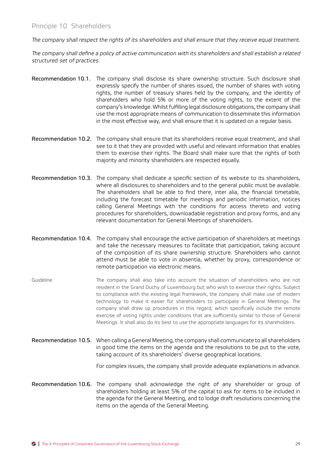The company shall respect the rights of its shareholders and shall ensure that they receive equal treatment.

The company shall define a policy of active communication with its shareholders and shall establish a related structured set of practices.

- Recommendation 10.1. The company shall disclose its share ownership structure. Such disclosure shall expressly specify the number of shares issued, the number of shares with voting rights, the number of treasury shares held by the company, and the identity of shareholders who hold 5% or more of the voting rights, to the extent of the company's knowledge. Whilst fulfilling legal disclosure obligations, the company shall use the most appropriate means of communication to disseminate this information in the most effective way, and shall ensure that it is updated on a regular basis.
- Recommendation 10.2. The company shall ensure that its shareholders receive equal treatment, and shall see to it that they are provided with useful and relevant information that enables them to exercise their rights. The Board shall make sure that the rights of both majority and minority shareholders are respected equally.
- Recommendation 10.3. The company shall dedicate a specific section of its website to its shareholders, where all disclosures to shareholders and to the general public must be available. The shareholders shall be able to find there, inter alia, the financial timetable, including the forecast timetable for meetings and periodic information, notices calling General Meetings with the conditions for access thereto and voting procedures for shareholders, downloadable registration and proxy forms, and any relevant documentation for General Meetings of shareholders.
- Recommendation 10.4. The company shall encourage the active participation of shareholders at meetings and take the necessary measures to facilitate that participation, taking account of the composition of its share ownership structure. Shareholders who cannot attend must be able to vote in absentia, whether by proxy, correspondence or remote participation via electronic means.
- Guideline The company shall also take into account the situation of shareholders who are not resident in the Grand Duchy of Luxembourg but who wish to exercise their rights. Subject to compliance with the existing legal framework, the company shall make use of modern technology to make it easier for shareholders to participate in General Meetings. The company shall draw up procedures in this regard, which specifically include the remote exercise of voting rights under conditions that are sufficiently similar to those of General Meetings. It shall also do its best to use the appropriate languages for its shareholders.
- Recommendation 10.5. When calling a General Meeting, the company shall communicate to all shareholders in good time the items on the agenda and the resolutions to be put to the vote, taking account of its shareholders' diverse geographical locations.

For complex issues, the company shall provide adequate explanations in advance.

Recommendation 10.6. The company shall acknowledge the right of any shareholder or group of shareholders holding at least 5% of the capital to ask for items to be included in the agenda for the General Meeting, and to lodge draft resolutions concerning the items on the agenda of the General Meeting.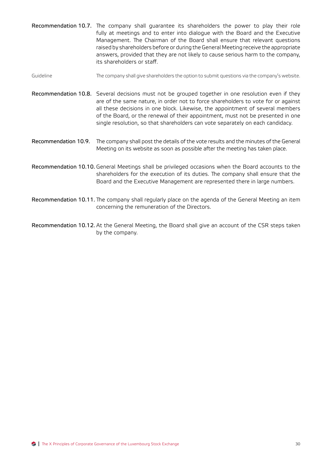Recommendation 10.7. The company shall quarantee its shareholders the power to play their role fully at meetings and to enter into dialogue with the Board and the Executive Management. The Chairman of the Board shall ensure that relevant questions raised by shareholders before or during the General Meeting receive the appropriate answers, provided that they are not likely to cause serious harm to the company, its shareholders or staff.

Guideline The company shall give shareholders the option to submit questions via the company's website.

- Recommendation 10.8. Several decisions must not be grouped together in one resolution even if they are of the same nature, in order not to force shareholders to vote for or against all these decisions in one block. Likewise, the appointment of several members of the Board, or the renewal of their appointment, must not be presented in one single resolution, so that shareholders can vote separately on each candidacy.
- Recommendation 10.9. The company shall post the details of the vote results and the minutes of the General Meeting on its website as soon as possible after the meeting has taken place.
- Recommendation 10.10. General Meetings shall be privileged occasions when the Board accounts to the shareholders for the execution of its duties. The company shall ensure that the Board and the Executive Management are represented there in large numbers.
- Recommendation 10.11. The company shall regularly place on the agenda of the General Meeting an item concerning the remuneration of the Directors.
- Recommendation 10.12. At the General Meeting, the Board shall give an account of the CSR steps taken by the company.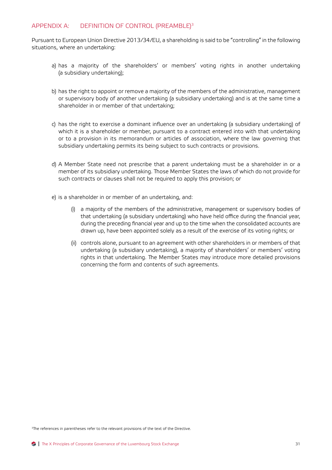#### APPENDIX A: DEFINITION OF CONTROL (PREAMBLE)<sup>3</sup>

Pursuant to European Union Directive 2013/34/EU, a shareholding is said to be "controlling" in the following situations, where an undertaking:

- a) has a majority of the shareholders' or members' voting rights in another undertaking (a subsidiary undertaking);
- b) has the right to appoint or remove a majority of the members of the administrative, management or supervisory body of another undertaking (a subsidiary undertaking) and is at the same time a shareholder in or member of that undertaking;
- c) has the right to exercise a dominant influence over an undertaking (a subsidiary undertaking) of which it is a shareholder or member, pursuant to a contract entered into with that undertaking or to a provision in its memorandum or articles of association, where the law governing that subsidiary undertaking permits its being subject to such contracts or provisions.
- d) A Member State need not prescribe that a parent undertaking must be a shareholder in or a member of its subsidiary undertaking. Those Member States the laws of which do not provide for such contracts or clauses shall not be required to apply this provision; or
- e) is a shareholder in or member of an undertaking, and:
	- (i) a majority of the members of the administrative, management or supervisory bodies of that undertaking (a subsidiary undertaking) who have held office during the financial year, during the preceding financial year and up to the time when the consolidated accounts are drawn up, have been appointed solely as a result of the exercise of its voting rights; or
	- (ii) controls alone, pursuant to an agreement with other shareholders in or members of that undertaking (a subsidiary undertaking), a majority of shareholders' or members' voting rights in that undertaking. The Member States may introduce more detailed provisions concerning the form and contents of such agreements.

<sup>3</sup>The references in parentheses refer to the relevant provisions of the text of the Directive.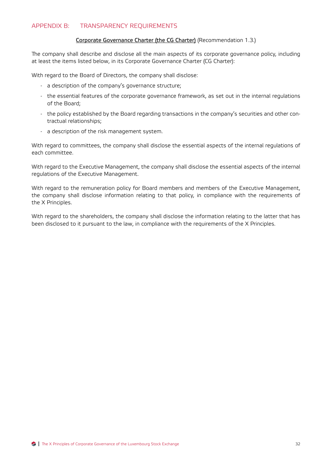#### Appendix B: TRANSPARENCY REQUIREMENTS

#### Corporate Governance Charter (the CG Charter) (Recommendation 1.3.)

The company shall describe and disclose all the main aspects of its corporate governance policy, including at least the items listed below, in its Corporate Governance Charter (CG Charter):

With regard to the Board of Directors, the company shall disclose:

- a description of the company's governance structure;
- the essential features of the corporate governance framework, as set out in the internal regulations of the Board;
- the policy established by the Board regarding transactions in the company's securities and other contractual relationships;
- a description of the risk management system.

With regard to committees, the company shall disclose the essential aspects of the internal regulations of each committee.

With regard to the Executive Management, the company shall disclose the essential aspects of the internal regulations of the Executive Management.

With regard to the remuneration policy for Board members and members of the Executive Management, the company shall disclose information relating to that policy, in compliance with the requirements of the X Principles.

With regard to the shareholders, the company shall disclose the information relating to the latter that has been disclosed to it pursuant to the law, in compliance with the requirements of the X Principles.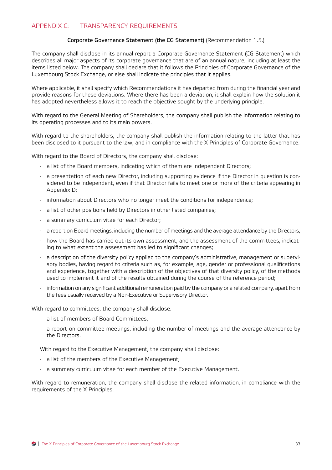#### Corporate Governance Statement (the CG Statement) (Recommendation 1.5.)

The company shall disclose in its annual report a Corporate Governance Statement (CG Statement) which describes all major aspects of its corporate governance that are of an annual nature, including at least the items listed below. The company shall declare that it follows the Principles of Corporate Governance of the Luxembourg Stock Exchange, or else shall indicate the principles that it applies.

Where applicable, it shall specify which Recommendations it has departed from during the financial year and provide reasons for these deviations. Where there has been a deviation, it shall explain how the solution it has adopted nevertheless allows it to reach the objective sought by the underlying principle.

With regard to the General Meeting of Shareholders, the company shall publish the information relating to its operating processes and to its main powers.

With regard to the shareholders, the company shall publish the information relating to the latter that has been disclosed to it pursuant to the law, and in compliance with the X Principles of Corporate Governance.

With regard to the Board of Directors, the company shall disclose:

- a list of the Board members, indicating which of them are Independent Directors;
- a presentation of each new Director, including supporting evidence if the Director in question is considered to be independent, even if that Director fails to meet one or more of the criteria appearing in Appendix D;
- information about Directors who no longer meet the conditions for independence;
- a list of other positions held by Directors in other listed companies;
- a summary curriculum vitae for each Director;
- a report on Board meetings, including the number of meetings and the average attendance by the Directors;
- how the Board has carried out its own assessment, and the assessment of the committees, indicating to what extent the assessment has led to significant changes;
- a description of the diversity policy applied to the company's administrative, management or supervisory bodies, having regard to criteria such as, for example, age, gender or professional qualifications and experience, together with a description of the objectives of that diversity policy, of the methods used to implement it and of the results obtained during the course of the reference period;
- information on any significant additional remuneration paid by the company or a related company, apart from the fees usually received by a Non-Executive or Supervisory Director.

With regard to committees, the company shall disclose:

- a list of members of Board Committees;
- a report on committee meetings, including the number of meetings and the average attendance by the Directors.

With regard to the Executive Management, the company shall disclose:

- a list of the members of the Executive Management;
- a summary curriculum vitae for each member of the Executive Management.

With regard to remuneration, the company shall disclose the related information, in compliance with the requirements of the X Principles.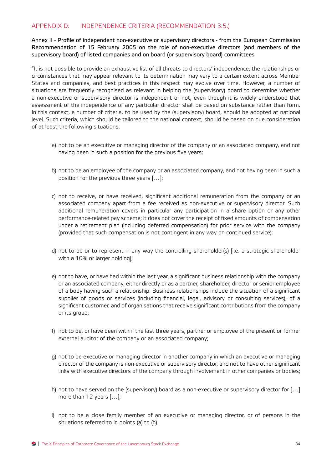#### Appendix D: INDEPENDENCE CRITERIA (RECOMMENDATION 3.5.)

Annex II - Profile of independent non-executive or supervisory directors - from the European Commission Recommendation of 15 February 2005 on the role of non-executive directors (and members of the supervisory board) of listed companies and on board (or supervisory board) committees

"It is not possible to provide an exhaustive list of all threats to directors' independence; the relationships or circumstances that may appear relevant to its determination may vary to a certain extent across Member States and companies, and best practices in this respect may evolve over time. However, a number of situations are frequently recognised as relevant in helping the (supervisory) board to determine whether a non-executive or supervisory director is independent or not, even though it is widely understood that assessment of the independence of any particular director shall be based on substance rather than form. In this context, a number of criteria, to be used by the (supervisory) board, should be adopted at national level. Such criteria, which should be tailored to the national context, should be based on due consideration of at least the following situations:

- a) not to be an executive or managing director of the company or an associated company, and not having been in such a position for the previous five years;
- b) not to be an employee of the company or an associated company, and not having been in such a position for the previous three years […];
- c) not to receive, or have received, significant additional remuneration from the company or an associated company apart from a fee received as non-executive or supervisory director. Such additional remuneration covers in particular any participation in a share option or any other performance-related pay scheme; it does not cover the receipt of fixed amounts of compensation under a retirement plan (including deferred compensation) for prior service with the company (provided that such compensation is not contingent in any way on continued service);
- d) not to be or to represent in any way the controlling shareholder(s) [i.e. a strategic shareholder with a 10% or larger holding];
- e) not to have, or have had within the last year, a significant business relationship with the company or an associated company, either directly or as a partner, shareholder, director or senior employee of a body having such a relationship. Business relationships include the situation of a significant supplier of goods or services (including financial, legal, advisory or consulting services), of a significant customer, and of organisations that receive significant contributions from the company or its group;
- f) not to be, or have been within the last three years, partner or employee of the present or former external auditor of the company or an associated company;
- g) not to be executive or managing director in another company in which an executive or managing director of the company is non-executive or supervisory director, and not to have other significant links with executive directors of the company through involvement in other companies or bodies;
- h) not to have served on the (supervisory) board as a non-executive or supervisory director for [...] more than 12 years […];
- i) not to be a close family member of an executive or managing director, or of persons in the situations referred to in points (a) to (h).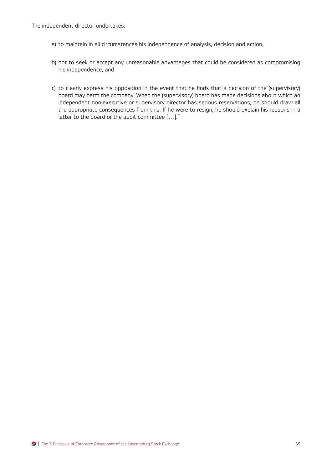- a) to maintain in all circumstances his independence of analysis, decision and action,
- b) not to seek or accept any unreasonable advantages that could be considered as compromising his independence, and
- c) to clearly express his opposition in the event that he finds that a decision of the (supervisory) board may harm the company. When the (supervisory) board has made decisions about which an independent non-executive or supervisory director has serious reservations, he should draw all the appropriate consequences from this. If he were to resign, he should explain his reasons in a letter to the board or the audit committee [...]."